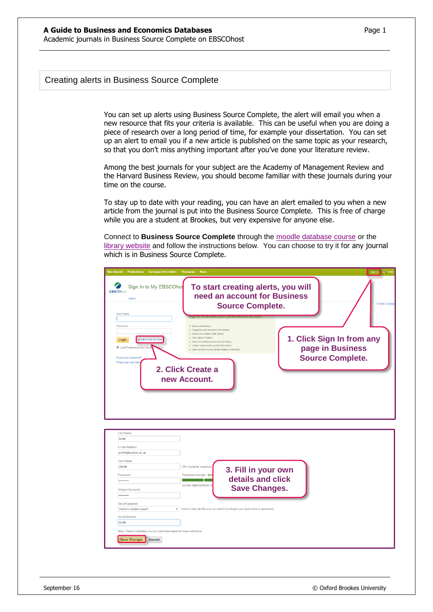## Creating alerts in Business Source Complete

You can set up alerts using Business Source Complete, the alert will email you when a new resource that fits your criteria is available. This can be useful when you are doing a piece of research over a long period of time, for example your dissertation. You can set up an alert to email you if a new article is published on the same topic as your research, so that you don't miss anything important after you've done your literature review.

Among the best journals for your subject are the Academy of Management Review and the Harvard Business Review, you should become familiar with these journals during your time on the course.

To stay up to date with your reading, you can have an alert emailed to you when a new article from the journal is put into the Business Source Complete. This is free of charge while you are a student at Brookes, but very expensive for anyone else.

Connect to **Business Source Complete** through the [moodle database course](https://moodle.brookes.ac.uk/course/view.php?id=19192) or the [library website](http://www.brookes.ac.uk/Library/Subject-help/Business--Marketing-and-Economics/) and follow the instructions below. You can choose to try it for any journal which is in Business Source Complete.

| <b>New Search</b><br><b>Publications</b> Company Information                                                                                                                                                                                                                                                                                 | More +<br>Thesaurus                                                                                                                                                                                                                                                                                                                                                                                                                                                                       | <b>显 Fold</b><br>Sign In |
|----------------------------------------------------------------------------------------------------------------------------------------------------------------------------------------------------------------------------------------------------------------------------------------------------------------------------------------------|-------------------------------------------------------------------------------------------------------------------------------------------------------------------------------------------------------------------------------------------------------------------------------------------------------------------------------------------------------------------------------------------------------------------------------------------------------------------------------------------|--------------------------|
| Sign In to My EBSCOhos<br><b>EBSCOhost</b><br><b>∢Back</b><br><b>User Name</b><br>Password<br>Create a new Accour<br>Login<br>Load Preferences from My I<br>Forgot your password?<br>Forgot your user nam                                                                                                                                    | To start creating alerts, you will<br>need an account for Business<br><b>Source Complete.</b><br>$\checkmark$ Save preferences<br>√ Organize your research with folders<br>√ Share your folders with others<br>1. Click Sign In from any<br>√ Mew others' folders<br>√ Save and retrieve your search history<br>√ Create email alerts and/or RSS feeds<br>page in Business<br>Gain access to your saved research remotely<br><b>Source Complete.</b><br>2. Click Create a<br>new Account. | Create a Charge          |
| <b>Last Name</b><br>Smith<br>E-mail Address<br>jsmith@brookes.ac.uk<br><b>User Name</b><br><b>JSmith</b><br>Password<br><br>Retype Password<br><br><b>Secret Question</b><br>Mother's maiden name?<br><b>Secret Answer</b><br>Smith<br>Note: Please remember your account information for future reference.<br><b>Save Changes</b><br>Cancel | 254 character maximum<br>3. Fill in your own<br>Password strength: Stro<br>details and click<br>Include digits/symbols or<br><b>Save Changes.</b><br>v Used to help identify your account if you forget your user name or password.                                                                                                                                                                                                                                                       |                          |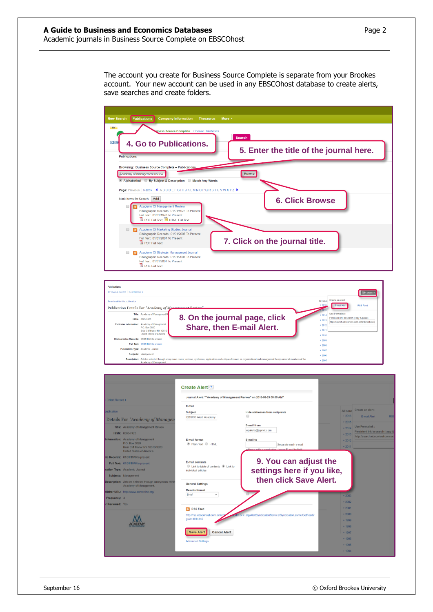The account you create for Business Source Complete is separate from your Brookes account. Your new account can be used in any EBSCOhost database to create alerts, save searches and create folders.